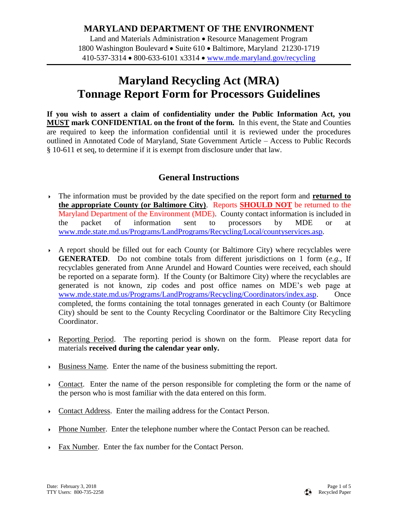## **MARYLAND DEPARTMENT OF THE ENVIRONMENT**

Land and Materials Administration • Resource Management Program 1800 Washington Boulevard • Suite 610 • Baltimore, Maryland 21230-1719  $410 - 537 - 3314 \cdot 800 - 633 - 6101 \times 3314 \cdot 800$  www.mde.maryland.gov/recycling

## **Maryland Recycling Act (MRA) Tonnage Report Form for Processors Guidelines**

**If you wish to assert a claim of confidentiality under the Public Information Act, you MUST mark CONFIDENTIAL on the front of the form.** In this event, the State and Counties are required to keep the information confidential until it is reviewed under the procedures outlined in Annotated Code of Maryland, State Government Article – Access to Public Records § 10-611 et seq, to determine if it is exempt from disclosure under that law.

## **General Instructions**

- The information must be provided by the date specified on the report form and **returned to the appropriate County (or Baltimore City)**. Reports **SHOULD NOT** be returned to the Maryland Department of the Environment (MDE). County contact information is included in the packet of information sent to processors by MDE or at [www.mde.state.md.us/Programs/LandPrograms/Recycling/Local/countyservices.asp.](http://www.mde.state.md.us/Programs/LandPrograms/Recycling/Local/countyservices.asp)
- A report should be filled out for each County (or Baltimore City) where recyclables were **GENERATED**. Do not combine totals from different jurisdictions on 1 form (*e.g.*, If recyclables generated from Anne Arundel and Howard Counties were received, each should be reported on a separate form). If the County (or Baltimore City) where the recyclables are generated is not known, zip codes and post office names on MDE's web page at [www.mde.state.md.us/Programs/LandPrograms/Recycling/Coordinators/index.asp.](http://www.mde.state.md.us/Programs/LandPrograms/Recycling/Coordinators/index.asp) Once completed, the forms containing the total tonnages generated in each County (or Baltimore City) should be sent to the County Recycling Coordinator or the Baltimore City Recycling Coordinator.
- Reporting Period. The reporting period is shown on the form. Please report data for materials **received during the calendar year only.**
- Business Name. Enter the name of the business submitting the report.
- $\triangleright$  Contact. Enter the name of the person responsible for completing the form or the name of the person who is most familiar with the data entered on this form.
- Contact Address. Enter the mailing address for the Contact Person.
- Phone Number. Enter the telephone number where the Contact Person can be reached.
- Fax Number. Enter the fax number for the Contact Person.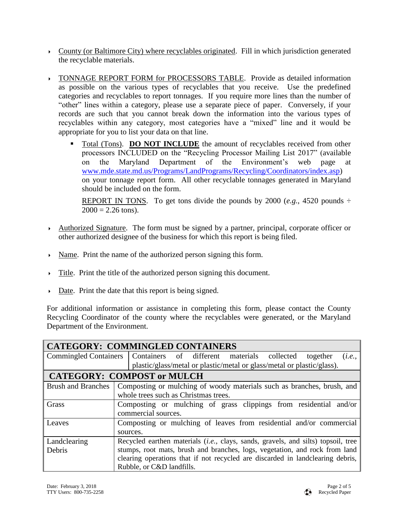- County (or Baltimore City) where recyclables originated. Fill in which jurisdiction generated the recyclable materials.
- TONNAGE REPORT FORM for PROCESSORS TABLE. Provide as detailed information as possible on the various types of recyclables that you receive. Use the predefined categories and recyclables to report tonnages. If you require more lines than the number of "other" lines within a category, please use a separate piece of paper. Conversely, if your records are such that you cannot break down the information into the various types of recyclables within any category, most categories have a "mixed" line and it would be appropriate for you to list your data on that line.
	- Total (Tons). **DO NOT INCLUDE** the amount of recyclables received from other processors INCLUDED on the "Recycling Processor Mailing List 2017" (available on the Maryland Department of the Environment's web page at [www.mde.state.md.us/Programs/LandPrograms/Recycling/Coordinators/index.asp\)](http://www.mde.state.md.us/Programs/LandPrograms/Recycling/Coordinators/index.asp) on your tonnage report form. All other recyclable tonnages generated in Maryland should be included on the form.

REPORT IN TONS. To get tons divide the pounds by 2000 (*e.g.*, 4520 pounds  $\div$  $2000 = 2.26$  tons).

- Authorized Signature. The form must be signed by a partner, principal, corporate officer or other authorized designee of the business for which this report is being filed.
- Name. Print the name of the authorized person signing this form.
- Title. Print the title of the authorized person signing this document.
- Date. Print the date that this report is being signed.

For additional information or assistance in completing this form, please contact the County Recycling Coordinator of the county where the recyclables were generated, or the Maryland Department of the Environment.

| <b>CATEGORY: COMMINGLED CONTAINERS</b> |                                                                                             |  |  |  |
|----------------------------------------|---------------------------------------------------------------------------------------------|--|--|--|
| <b>Commingled Containers</b>           | Containers of different materials collected<br>together<br>(i.e.,                           |  |  |  |
|                                        | plastic/glass/metal or plastic/metal or glass/metal or plastic/glass).                      |  |  |  |
| <b>CATEGORY: COMPOST or MULCH</b>      |                                                                                             |  |  |  |
|                                        | Brush and Branches   Composting or mulching of woody materials such as branches, brush, and |  |  |  |
|                                        | whole trees such as Christmas trees.                                                        |  |  |  |
| Grass                                  | Composting or mulching of grass clippings from residential and/or                           |  |  |  |
|                                        | commercial sources.                                                                         |  |  |  |
| Leaves                                 | Composting or mulching of leaves from residential and/or commercial                         |  |  |  |
|                                        | sources.                                                                                    |  |  |  |
| Landclearing                           | Recycled earthen materials <i>(i.e., clays, sands, gravels, and silts)</i> topsoil, tree    |  |  |  |
| Debris                                 | stumps, root mats, brush and branches, logs, vegetation, and rock from land                 |  |  |  |
|                                        | clearing operations that if not recycled are discarded in landclearing debris,              |  |  |  |
|                                        | Rubble, or C&D landfills.                                                                   |  |  |  |

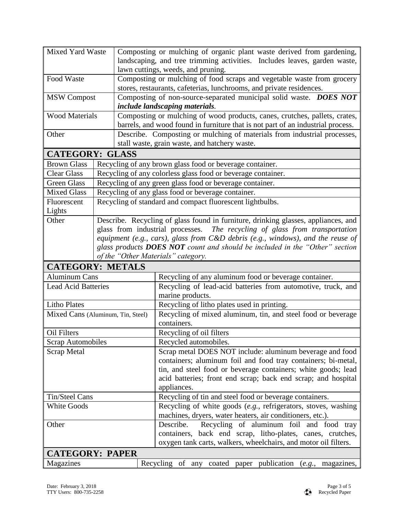| Mixed Yard Waste           |                                   | Composting or mulching of organic plant waste derived from gardening,                                                       |  |
|----------------------------|-----------------------------------|-----------------------------------------------------------------------------------------------------------------------------|--|
|                            |                                   | landscaping, and tree trimming activities. Includes leaves, garden waste,                                                   |  |
|                            |                                   | lawn cuttings, weeds, and pruning.                                                                                          |  |
| Food Waste                 |                                   | Composting or mulching of food scraps and vegetable waste from grocery                                                      |  |
|                            |                                   | stores, restaurants, cafeterias, lunchrooms, and private residences.                                                        |  |
| <b>MSW Compost</b>         |                                   | Composting of non-source-separated municipal solid waste. DOES NOT                                                          |  |
|                            |                                   | include landscaping materials.                                                                                              |  |
| <b>Wood Materials</b>      |                                   | Composting or mulching of wood products, canes, crutches, pallets, crates,                                                  |  |
|                            |                                   | barrels, and wood found in furniture that is not part of an industrial process.                                             |  |
| Other                      |                                   | Describe. Composting or mulching of materials from industrial processes,<br>stall waste, grain waste, and hatchery waste.   |  |
| <b>CATEGORY: GLASS</b>     |                                   |                                                                                                                             |  |
|                            |                                   |                                                                                                                             |  |
| <b>Brown Glass</b>         |                                   | Recycling of any brown glass food or beverage container.                                                                    |  |
| <b>Clear Glass</b>         |                                   | Recycling of any colorless glass food or beverage container.                                                                |  |
| <b>Green Glass</b>         |                                   | Recycling of any green glass food or beverage container.                                                                    |  |
| <b>Mixed Glass</b>         |                                   | Recycling of any glass food or beverage container.                                                                          |  |
| Fluorescent<br>Lights      |                                   | Recycling of standard and compact fluorescent lightbulbs.                                                                   |  |
| Other                      |                                   | Describe. Recycling of glass found in furniture, drinking glasses, appliances, and                                          |  |
|                            |                                   | glass from industrial processes. The recycling of glass from transportation                                                 |  |
|                            |                                   | equipment (e.g., cars), glass from $C&D$ debris (e.g., windows), and the reuse of                                           |  |
|                            |                                   | glass products <b>DOES NOT</b> count and should be included in the "Other" section                                          |  |
|                            |                                   | of the "Other Materials" category.                                                                                          |  |
|                            | <b>CATEGORY: METALS</b>           |                                                                                                                             |  |
| <b>Aluminum Cans</b>       |                                   | Recycling of any aluminum food or beverage container.                                                                       |  |
| <b>Lead Acid Batteries</b> |                                   | Recycling of lead-acid batteries from automotive, truck, and                                                                |  |
|                            |                                   | marine products.                                                                                                            |  |
| <b>Litho Plates</b>        |                                   | Recycling of litho plates used in printing.                                                                                 |  |
|                            | Mixed Cans (Aluminum, Tin, Steel) | Recycling of mixed aluminum, tin, and steel food or beverage                                                                |  |
|                            |                                   | containers.                                                                                                                 |  |
| Oil Filters                |                                   | Recycling of oil filters                                                                                                    |  |
| <b>Scrap Automobiles</b>   |                                   | Recycled automobiles.                                                                                                       |  |
| Scrap Metal                |                                   | Scrap metal DOES NOT include: aluminum beverage and food                                                                    |  |
|                            |                                   | containers; aluminum foil and food tray containers; bi-metal,                                                               |  |
|                            |                                   | tin, and steel food or beverage containers; white goods; lead                                                               |  |
|                            |                                   | acid batteries; front end scrap; back end scrap; and hospital                                                               |  |
|                            |                                   | appliances.                                                                                                                 |  |
| <b>Tin/Steel Cans</b>      |                                   | Recycling of tin and steel food or beverage containers.                                                                     |  |
| <b>White Goods</b>         |                                   | Recycling of white goods (e.g., refrigerators, stoves, washing<br>machines, dryers, water heaters, air conditioners, etc.). |  |
| Other                      |                                   | Describe.<br>Recycling of aluminum foil and food tray                                                                       |  |
|                            |                                   | containers, back end scrap, litho-plates, canes, crutches,                                                                  |  |
|                            |                                   | oxygen tank carts, walkers, wheelchairs, and motor oil filters.                                                             |  |
| <b>CATEGORY: PAPER</b>     |                                   |                                                                                                                             |  |
| Magazines                  |                                   | Recycling of any<br>publication<br>coated<br>paper<br>(e.g., magazines,                                                     |  |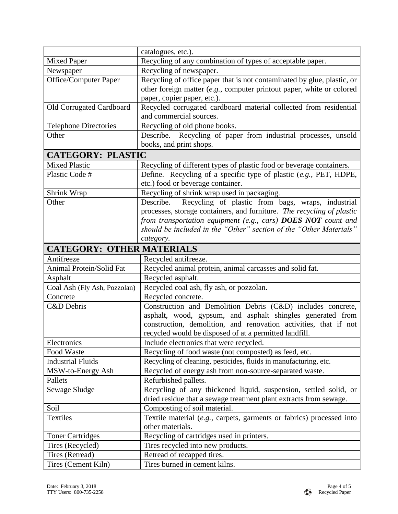|                                  | catalogues, etc.).                                                      |  |  |  |
|----------------------------------|-------------------------------------------------------------------------|--|--|--|
| <b>Mixed Paper</b>               | Recycling of any combination of types of acceptable paper.              |  |  |  |
| Newspaper                        | Recycling of newspaper.                                                 |  |  |  |
| Office/Computer Paper            | Recycling of office paper that is not contaminated by glue, plastic, or |  |  |  |
|                                  | other foreign matter (e.g., computer printout paper, white or colored   |  |  |  |
|                                  | paper, copier paper, etc.).                                             |  |  |  |
| Old Corrugated Cardboard         | Recycled corrugated cardboard material collected from residential       |  |  |  |
|                                  | and commercial sources.                                                 |  |  |  |
| <b>Telephone Directories</b>     | Recycling of old phone books.                                           |  |  |  |
| Other                            | Describe. Recycling of paper from industrial processes, unsold          |  |  |  |
|                                  | books, and print shops.                                                 |  |  |  |
| <b>CATEGORY: PLASTIC</b>         |                                                                         |  |  |  |
| <b>Mixed Plastic</b>             | Recycling of different types of plastic food or beverage containers.    |  |  |  |
| Plastic Code #                   | Define. Recycling of a specific type of plastic (e.g., PET, HDPE,       |  |  |  |
|                                  | etc.) food or beverage container.                                       |  |  |  |
| Shrink Wrap                      | Recycling of shrink wrap used in packaging.                             |  |  |  |
| Other                            | Recycling of plastic from bags, wraps, industrial<br>Describe.          |  |  |  |
|                                  | processes, storage containers, and furniture. The recycling of plastic  |  |  |  |
|                                  | from transportation equipment (e.g., cars) <b>DOES NOT</b> count and    |  |  |  |
|                                  | should be included in the "Other" section of the "Other Materials"      |  |  |  |
|                                  | category.                                                               |  |  |  |
| <b>CATEGORY: OTHER MATERIALS</b> |                                                                         |  |  |  |
| Antifreeze                       | Recycled antifreeze.                                                    |  |  |  |
| Animal Protein/Solid Fat         | Recycled animal protein, animal carcasses and solid fat.                |  |  |  |
| Asphalt                          | Recycled asphalt.                                                       |  |  |  |
| Coal Ash (Fly Ash, Pozzolan)     | Recycled coal ash, fly ash, or pozzolan.                                |  |  |  |
| Concrete                         | Recycled concrete.                                                      |  |  |  |
| <b>C&amp;D</b> Debris            | Construction and Demolition Debris (C&D) includes concrete,             |  |  |  |
|                                  | asphalt, wood, gypsum, and asphalt shingles generated from              |  |  |  |
|                                  | construction, demolition, and renovation activities, that if not        |  |  |  |
|                                  | recycled would be disposed of at a permitted landfill.                  |  |  |  |
| Electronics                      | Include electronics that were recycled.                                 |  |  |  |
| Food Waste                       | Recycling of food waste (not composted) as feed, etc.                   |  |  |  |
| <b>Industrial Fluids</b>         | Recycling of cleaning, pesticides, fluids in manufacturing, etc.        |  |  |  |
| MSW-to-Energy Ash                | Recycled of energy ash from non-source-separated waste.                 |  |  |  |
| Pallets                          | Refurbished pallets.                                                    |  |  |  |
| Sewage Sludge                    | Recycling of any thickened liquid, suspension, settled solid, or        |  |  |  |
|                                  | dried residue that a sewage treatment plant extracts from sewage.       |  |  |  |
| Soil                             | Composting of soil material.                                            |  |  |  |
| Textiles                         | Textile material (e.g., carpets, garments or fabrics) processed into    |  |  |  |
|                                  | other materials.                                                        |  |  |  |
| <b>Toner Cartridges</b>          | Recycling of cartridges used in printers.                               |  |  |  |
| Tires (Recycled)                 | Tires recycled into new products.                                       |  |  |  |
| Tires (Retread)                  | Retread of recapped tires.                                              |  |  |  |
| Tires (Cement Kiln)              | Tires burned in cement kilns.                                           |  |  |  |